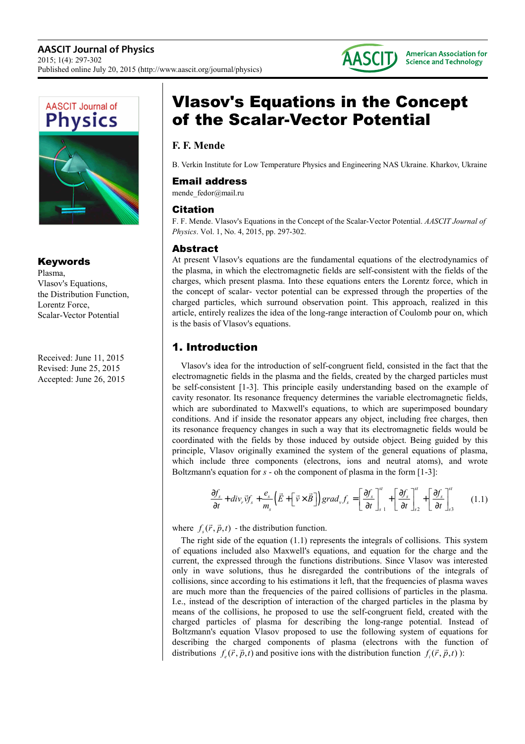



#### Keywords

Plasma, Vlasov's Equations, the Distribution Function, Lorentz Force, Scalar-Vector Potential

Received: June 11, 2015 Revised: June 25, 2015 Accepted: June 26, 2015

# Vlasov's Equations in the Concept of the Scalar-Vector Potential

### **F. F. Mende**

B. Verkin Institute for Low Temperature Physics and Engineering NAS Ukraine. Kharkov, Ukraine

#### Email address

mende\_fedor@mail.ru

#### Citation

F. F. Mende. Vlasov's Equations in the Concept of the Scalar-Vector Potential. *AASCIT Journal of Physics*. Vol. 1, No. 4, 2015, pp. 297-302.

#### Abstract

At present Vlasov's equations are the fundamental equations of the electrodynamics of the plasma, in which the electromagnetic fields are self-consistent with the fields of the charges, which present plasma. Into these equations enters the Lorentz force, which in the concept of scalar- vector potential can be expressed through the properties of the charged particles, which surround observation point. This approach, realized in this article, entirely realizes the idea of the long-range interaction of Coulomb pour on, which is the basis of Vlasov's equations.

## 1. Introduction

Vlasov's idea for the introduction of self-congruent field, consisted in the fact that the electromagnetic fields in the plasma and the fields, created by the charged particles must be self-consistent [1-3]. This principle easily understanding based on the example of cavity resonator. Its resonance frequency determines the variable electromagnetic fields, which are subordinated to Maxwell's equations, to which are superimposed boundary conditions. And if inside the resonator appears any object, including free charges, then its resonance frequency changes in such a way that its electromagnetic fields would be coordinated with the fields by those induced by outside object. Being guided by this principle, Vlasov originally examined the system of the general equations of plasma, which include three components (electrons, ions and neutral atoms), and wrote Boltzmann's equation for *s* - oh the component of plasma in the form [1-3]:

$$
\frac{\partial f_s}{\partial t} + \text{div}_r \vec{v} f_s + \frac{e_s}{m_s} \left( \vec{E} + \left[ \vec{v} \times \vec{B} \right] \right) \text{grad}_v f_s = \left[ \frac{\partial f_s}{\partial t} \right]_{s=1}^s + \left[ \frac{\partial f_s}{\partial t} \right]_{s=2}^s + \left[ \frac{\partial f_s}{\partial t} \right]_{s=2}^s \tag{1.1}
$$

where  $f_s(\vec{r}, \vec{p}, t)$  - the distribution function.

The right side of the equation  $(1.1)$  represents the integrals of collisions. This system of equations included also Maxwell's equations, and equation for the charge and the current, the expressed through the functions distributions. Since Vlasov was interested only in wave solutions, thus he disregarded the contributions of the integrals of collisions, since according to his estimations it left, that the frequencies of plasma waves are much more than the frequencies of the paired collisions of particles in the plasma. I.e., instead of the description of interaction of the charged particles in the plasma by means of the collisions, he proposed to use the self-congruent field, created with the charged particles of plasma for describing the long-range potential. Instead of Boltzmann's equation Vlasov proposed to use the following system of equations for describing the charged components of plasma (electrons with the function of distributions  $f_e(\vec{r}, \vec{p}, t)$  and positive ions with the distribution function  $f_i(\vec{r}, \vec{p}, t)$ :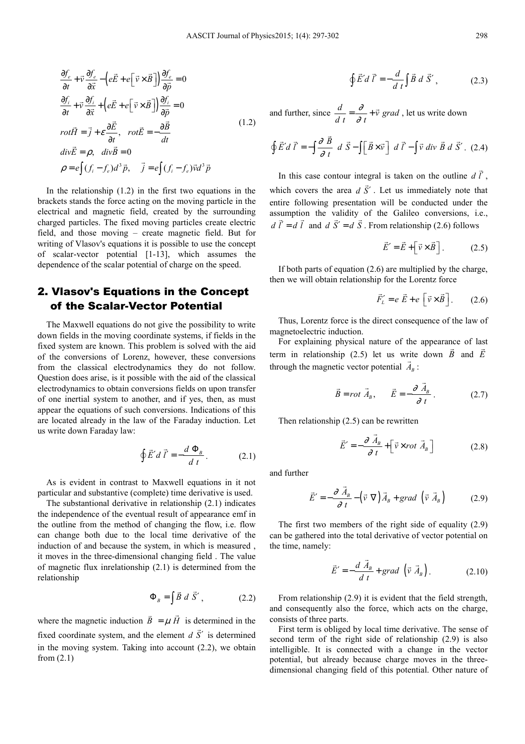$$
\frac{\partial f_e}{\partial t} + \vec{v} \frac{\partial f_e}{\partial \vec{x}} - \left( e\vec{E} + e\left[ \vec{v} \times \vec{B} \right] \right) \frac{\partial f_e}{\partial \vec{p}} = 0
$$
\n
$$
\frac{\partial f_i}{\partial t} + \vec{v} \frac{\partial f_i}{\partial \vec{x}} + \left( e\vec{E} + e\left[ \vec{v} \times \vec{B} \right] \right) \frac{\partial f_i}{\partial \vec{p}} = 0
$$
\n
$$
rot\vec{H} = \vec{j} + \varepsilon \frac{\partial \vec{E}}{\partial t}, \quad rot\vec{E} = -\frac{\partial \vec{B}}{\partial t}
$$
\n
$$
div\vec{E} = \rho, \quad div\vec{B} = 0
$$
\n
$$
\rho = e \int (f_i - f_e) d^3 \vec{p}, \quad \vec{j} = e \int (f_i - f_e) \vec{v} d^3 \vec{p}
$$
\n(1.2)

In the relationship  $(1.2)$  in the first two equations in the brackets stands the force acting on the moving particle in the electrical and magnetic field, created by the surrounding charged particles. The fixed moving particles create electric field, and those moving – create magnetic field. But for writing of Vlasov's equations it is possible to use the concept of scalar-vector potential [1-13], which assumes the dependence of the scalar potential of charge on the speed.

#### 2. Vlasov's Equations in the Concept of the Scalar-Vector Potential

The Maxwell equations do not give the possibility to write down fields in the moving coordinate systems, if fields in the fixed system are known. This problem is solved with the aid of the conversions of Lorenz, however, these conversions from the classical electrodynamics they do not follow. Question does arise, is it possible with the aid of the classical electrodynamics to obtain conversions fields on upon transfer of one inertial system to another, and if yes, then, as must appear the equations of such conversions. Indications of this are located already in the law of the Faraday induction. Let us write down Faraday law:

$$
\oint \vec{E}' d \vec{l}' = -\frac{d \Phi_B}{d t}.
$$
 (2.1)

As is evident in contrast to Maxwell equations in it not particular and substantive (complete) time derivative is used.

The substantional derivative in relationship (2.1) indicates the independence of the eventual result of appearance emf in the outline from the method of changing the flow, i.e. flow can change both due to the local time derivative of the induction of and because the system, in which is measured , it moves in the three-dimensional changing field . The value of magnetic flux inrelationship (2.1) is determined from the relationship

$$
\Phi_B = \int \vec{B} \ d \vec{S}' , \qquad (2.2)
$$

where the magnetic induction  $\bar{B} = \mu \bar{H}$  $\overline{a}$   $\overline{a}$  is determined in the fixed coordinate system, and the element *d S*′  $\overline{a}$  is determined in the moving system. Taking into account (2.2), we obtain from (2.1)

$$
\oint \vec{E}' d \vec{l}' = -\frac{d}{d t} \int \vec{B} d \vec{S}', \qquad (2.3)
$$

and further, since  $\frac{d}{dt} = \frac{\partial}{\partial t} + \vec{v}$  grad ∂  $=\frac{\partial}{\partial t} + \vec{v}$  grad, let us write down

$$
\oint \vec{E}' d \vec{l}' = -\int \frac{\partial \vec{B}}{\partial t} d \vec{S} - \int \left[ \vec{B} \times \vec{v} \right] d \vec{l}' - \int \vec{v} \, div \vec{B} \, d \vec{S}'. \tag{2.4}
$$

In this case contour integral is taken on the outline *d l*′  $\overline{a}$ , which covers the area *d S*′  $\overline{a}$ . Let us immediately note that entire following presentation will be conducted under the assumption the validity of the Galileo conversions, i.e.,  $d l' = d l$  and  $d S' = d S$ . From relationship (2.6) follows

$$
\vec{E}' = \vec{E} + \left[\vec{v} \times \vec{B}\right].
$$
 (2.5)

If both parts of equation (2.6) are multiplied by the charge, then we will obtain relationship for the Lorentz force

$$
\vec{F}'_L = e \vec{E} + e \left[ \vec{v} \times \vec{B} \right].
$$
 (2.6)

Thus, Lorentz force is the direct consequence of the law of magnetoelectric induction.

For explaining physical nature of the appearance of last term in relationship  $(2.5)$  let us write down *B* and *E* through the magnetic vector potential  $A_B$ :

$$
\vec{B} = rot \ \vec{A}_B, \qquad \vec{E} = -\frac{\partial \ \vec{A}_B}{\partial t} \,. \tag{2.7}
$$

Then relationship (2.5) can be rewritten

$$
\vec{E}' = -\frac{\partial \vec{A}_B}{\partial t} + \left[ \vec{v} \times rot \vec{A}_B \right]
$$
 (2.8)

and further

$$
\vec{E}' = -\frac{\partial \vec{A}_B}{\partial t} - (\vec{v} \nabla) \vec{A}_B + grad \left( \vec{v} \vec{A}_B \right)
$$
 (2.9)

The first two members of the right side of equality (2.9) can be gathered into the total derivative of vector potential on the time, namely:

$$
\vec{E}' = -\frac{d\vec{A}_B}{d\,t} + \operatorname{grad}\left(\vec{v}\,\,\vec{A}_B\right). \tag{2.10}
$$

From relationship (2.9) it is evident that the field strength, and consequently also the force, which acts on the charge, consists of three parts.

First term is obliged by local time derivative. The sense of second term of the right side of relationship (2.9) is also intelligible. It is connected with a change in the vector potential, but already because charge moves in the threedimensional changing field of this potential. Other nature of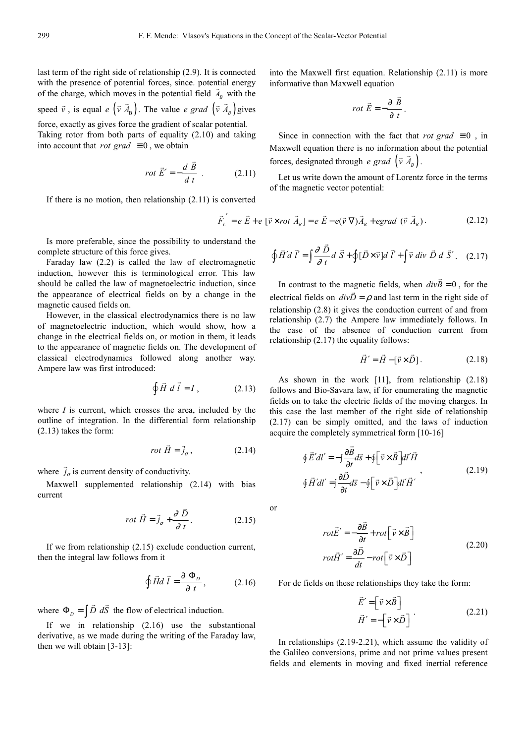last term of the right side of relationship (2.9). It is connected with the presence of potential forces, since. potential energy of the charge, which moves in the potential field  $\vec{A}_B$  with the

speed  $\vec{v}$ , is equal  $e \left( \vec{v} \ \vec{A}_{\text{B}} \right)$  $\overline{a}$ . The value *e grad*  $(\vec{v} A_B)$  $\vec{v}$   $\vec{A}_B$ ) gives force, exactly as gives force the gradient of scalar potential.

Taking rotor from both parts of equality (2.10) and taking into account that *rot grad*  $\equiv 0$ , we obtain

$$
rot \vec{E}' = -\frac{d \vec{B}}{dt} . \qquad (2.11)
$$

If there is no motion, then relationship (2.11) is converted

Is more preferable, since the possibility to understand the complete structure of this force gives.

Faraday law (2.2) is called the law of electromagnetic induction, however this is terminological error. This law should be called the law of magnetoelectric induction, since the appearance of electrical fields on by a change in the magnetic caused fields on.

However, in the classical electrodynamics there is no law of magnetoelectric induction, which would show, how a change in the electrical fields on, or motion in them, it leads to the appearance of magnetic fields on. The development of classical electrodynamics followed along another way. Ampere law was first introduced:

$$
\oint \vec{H} \ d\vec{l} = I \,, \tag{2.13}
$$

where *I* is current, which crosses the area, included by the outline of integration. In the differential form relationship (2.13) takes the form:

$$
rot \vec{H} = \vec{j}_{\sigma}, \qquad (2.14)
$$

where  $j_{\sigma}$  $\overline{\phantom{a}}$ is current density of conductivity.

Maxwell supplemented relationship (2.14) with bias current

$$
rot \ \vec{H} = \vec{j}_{\sigma} + \frac{\partial \ \vec{D}}{\partial \ t}.
$$
 (2.15)

If we from relationship (2.15) exclude conduction current, then the integral law follows from it

$$
\oint \vec{H} d \vec{l} = \frac{\partial \Phi_D}{\partial t}, \qquad (2.16)
$$

where  $\Phi_D = \int \vec{D} \ d\vec{S}$ the flow of electrical induction.

If we in relationship (2.16) use the substantional derivative, as we made during the writing of the Faraday law, then we will obtain [3-13]:

into the Maxwell first equation. Relationship (2.11) is more informative than Maxwell equation

$$
rot\ \vec{E} = -\frac{\partial \ \vec{B}}{\partial \ t}.
$$

Since in connection with the fact that *rot grad*  $\equiv 0$ , in Maxwell equation there is no information about the potential forces, designated through *e grad*  $(\vec{v} A_{B})$ .

Let us write down the amount of Lorentz force in the terms of the magnetic vector potential:

$$
\vec{F}_L' = e \vec{E} + e \left[ \vec{v} \times rot \vec{A}_B \right] = e \vec{E} - e(\vec{v} \cdot \nabla) \vec{A}_B + egrad \ (\vec{v} \cdot \vec{A}_B). \tag{2.12}
$$

$$
\oint \vec{H}' d \vec{l}' = \int \frac{\partial \vec{D}}{\partial t} d \vec{S} + \oint [\vec{D} \times \vec{v}] d \vec{l}' + \int \vec{v} \, div \vec{D} \, d \vec{S}'. \quad (2.17)
$$

In contrast to the magnetic fields, when  $divB = 0$ agnetic fields, when  $divB = 0$ , for the electrical fields on  $divD = \rho$  and last term in the right side of relationship (2.8) it gives the conduction current of and from relationship (2.7) the Ampere law immediately follows. In the case of the absence of conduction current from relationship (2.17) the equality follows:

$$
\vec{H}' = \vec{H} - [\vec{v} \times \vec{D}].
$$
 (2.18)

 $\overline{\phantom{a}}$ 

As shown in the work [11], from relationship (2.18) follows and Bio-Savara law, if for enumerating the magnetic fields on to take the electric fields of the moving charges. In this case the last member of the right side of relationship (2.17) can be simply omitted, and the laws of induction acquire the completely symmetrical form [10-16]

$$
\oint \vec{E}' dl' = -\int \frac{\partial \vec{B}}{\partial t} d\vec{s} + \oint \left[ \vec{v} \times \vec{B} \right] dl' \vec{H}
$$
\n
$$
\oint \vec{H}' dl' = \int \frac{\partial \vec{D}}{\partial t} d\vec{s} - \oint \left[ \vec{v} \times \vec{D} \right] dl' \vec{H}'
$$
\n(2.19)

or

$$
rot\vec{E}' = -\frac{\partial \vec{B}}{\partial t} + rot \left[\vec{v} \times \vec{B}\right]
$$
  

$$
rot\vec{H}' = \frac{\partial \vec{D}}{\partial t} - rot \left[\vec{v} \times \vec{D}\right]
$$
 (2.20)

For dc fields on these relationships they take the form:

 $\overline{\phantom{a}}$ 

$$
\vec{E}' = \begin{bmatrix} \vec{v} \times \vec{B} \end{bmatrix}
$$
  

$$
\vec{H}' = -\begin{bmatrix} \vec{v} \times \vec{D} \end{bmatrix}
$$
 (2.21)

In relationships (2.19-2.21), which assume the validity of the Galileo conversions, prime and not prime values present fields and elements in moving and fixed inertial reference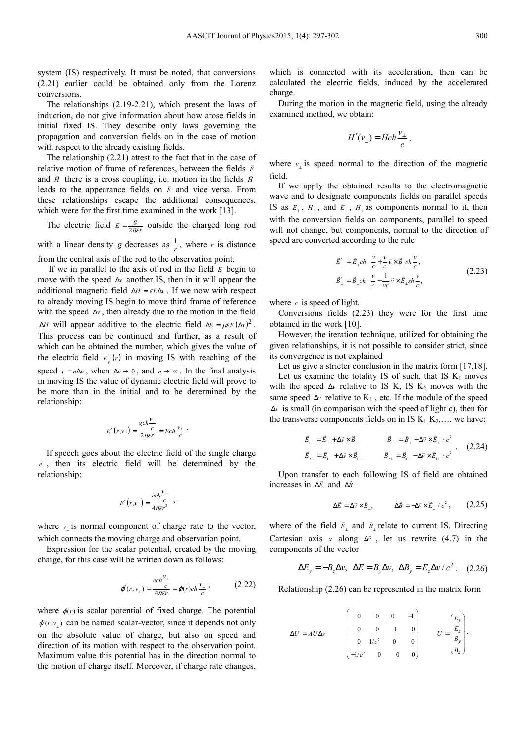system (IS) respectively. It must be noted, that conversions (2.21) earlier could be obtained only from the Lorenz conversions.

The relationships (2.19-2.21), which present the laws of induction, do not give information about how arose fields in initial fixed IS. They describe only laws governing the propagation and conversion fields on in the case of motion with respect to the already existing fields.

The relationship (2.21) attest to the fact that in the case of relative motion of frame of references, between the fields  $\vec{E}$ and  $\vec{H}$  there is a cross coupling, i.e. motion in the fields  $\vec{H}$ leads to the appearance fields on  $\vec{E}$  and vice versa. From these relationships escape the additional consequences, which were for the first time examined in the work [13].

The electric field  $E = \frac{1}{2}$  $E = \frac{g}{2\pi\epsilon r}$  outside the charged long rod with a linear density *g* decreases as  $\frac{1}{r}$ , where *r* is distance

from the central axis of the rod to the observation point.

 If we in parallel to the axis of rod in the field *E* begin to move with the speed ∆*v* another IS, then in it will appear the additional magnetic field  $\Delta H = \varepsilon E \Delta v$ . If we now with respect to already moving IS begin to move third frame of reference with the speed ∆*v* , then already due to the motion in the field  $\Delta H$  will appear additive to the electric field  $\Delta E = \mu \varepsilon E (\Delta v)^2$ . This process can be continued and further, as a result of which can be obtained the number, which gives the value of the electric field  $E'_v(r)$  in moving IS with reaching of the speed  $v = n\Delta v$ , when  $\Delta v \rightarrow 0$ , and  $n \rightarrow \infty$ . In the final analysis in moving IS the value of dynamic electric field will prove to be more than in the initial and to be determined by the relationship:

$$
E'(r,v_\perp)=\frac{gch^{\frac{V_\perp}{c}}}{2\pi\varepsilon r}=Ech\frac{v_\perp}{c}\;.
$$

If speech goes about the electric field of the single charge *e* , then its electric field will be determined by the relationship:

$$
E'(r,v_{\perp})=\frac{ech^{\frac{v_{\perp}}{c}}}{4\pi\epsilon r^2} \ ,
$$

where  $v_{\perp}$  is normal component of charge rate to the vector, which connects the moving charge and observation point.

Expression for the scalar potential, created by the moving charge, for this case will be written down as follows:

$$
\varphi'(r, v_{\perp}) = \frac{ech^{\frac{V_{\perp}}{c}}}{4\pi\epsilon r} = \varphi(r)ch\frac{v_{\perp}}{c},\tag{2.22}
$$

where  $\varphi(r)$  is scalar potential of fixed charge. The potential  $\varphi(r, v_+)$  can be named scalar-vector, since it depends not only on the absolute value of charge, but also on speed and direction of its motion with respect to the observation point. Maximum value this potential has in the direction normal to the motion of charge itself. Moreover, if charge rate changes,

which is connected with its acceleration, then can be calculated the electric fields, induced by the accelerated charge.

During the motion in the magnetic field, using the already examined method, we obtain:

$$
H'(v_{\perp}) = Hch \frac{v_{\perp}}{c}.
$$

where  $v_{\perp}$  is speed normal to the direction of the magnetic field.

If we apply the obtained results to the electromagnetic wave and to designate components fields on parallel speeds IS as  $E_1$ ,  $H_1$ , and  $E_1$ ,  $H_1$  as components normal to it, then with the conversion fields on components, parallel to speed will not change, but components, normal to the direction of speed are converted according to the rule

$$
\vec{E}'_{\perp} = \vec{E}_{\perp} ch \frac{v}{c} + \frac{v}{c} \vec{v} \times \vec{B}_{\perp} sh \frac{v}{c}, \n\vec{B}'_{\perp} = \vec{B}_{\perp} ch \frac{v}{c} - \frac{1}{vc} \vec{v} \times \vec{E}_{\perp} sh \frac{v}{c},
$$
\n(2.23)

where *c* is speed of light.

Conversions fields (2.23) they were for the first time obtained in the work [10].

However, the iteration technique, utilized for obtaining the given relationships, it is not possible to consider strict, since its convergence is not explained

Let us give a stricter conclusion in the matrix form [17,18]. Let us examine the totality IS of such, that IS  $K_1$  moves with the speed  $\Delta v$  relative to IS K, IS K<sub>2</sub> moves with the same speed  $\Delta v$  relative to K<sub>1</sub>, etc. If the module of the speed ∆*v* is small (in comparison with the speed of light c), then for the transverse components fields on in IS  $K_1, K_2, \ldots$  we have:

$$
\vec{E}_{11} = \vec{E}_{1} + \Delta \vec{v} \times \vec{B}_{1} \qquad \vec{B}_{11} = \vec{B}_{1} - \Delta \vec{v} \times \vec{E}_{1} / c^{2} \n\vec{E}_{21} = \vec{E}_{11} + \Delta \vec{v} \times \vec{B}_{11} \qquad \vec{B}_{21} = \vec{B}_{11} - \Delta \vec{v} \times \vec{E}_{11} / c^{2}
$$
\n(2.24)

Upon transfer to each following IS of field are obtained increases in ∆*E* and ∆*B*

$$
\Delta \vec{E} = \Delta \vec{v} \times \vec{B}_{\perp}, \qquad \Delta \vec{B} = -\Delta \vec{v} \times \vec{E}_{\perp} / c^2, \qquad (2.25)
$$

.

where of the field  $\vec{E}_{\perp}$  and  $\vec{B}_{\perp}$  relate to current IS. Directing Cartesian axis *x* along  $\Delta \vec{v}$ , let us rewrite (4.7) in the components of the vector

$$
\Delta E_y = -B_z \Delta v, \ \ \Delta E = B_y \Delta v, \ \ \Delta B_y = E_z \Delta v / c^2 \ . \tag{2.26}
$$

Relationship (2.26) can be represented in the matrix form

$$
\Delta U = A U \Delta v
$$
\n
$$
\begin{pmatrix}\n0 & 0 & 0 & -1 \\
0 & 0 & 1 & 0 \\
0 & 1/c^2 & 0 & 0 \\
-1/c^2 & 0 & 0 & 0\n\end{pmatrix}
$$
\n
$$
U = \begin{pmatrix}\nE_y \\
E_z \\
B_y \\
B_z\n\end{pmatrix}
$$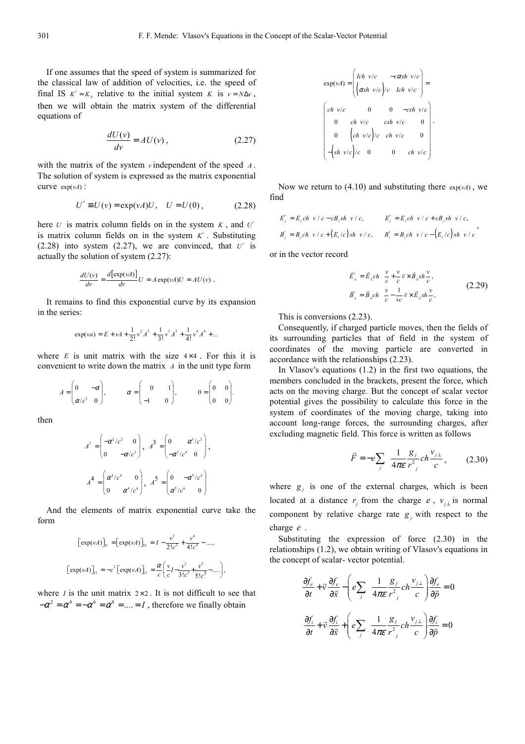If one assumes that the speed of system is summarized for the classical law of addition of velocities, i.e. the speed of final IS  $K' = K_N$  relative to the initial system *K* is  $v = N \Delta v$ , then we will obtain the matrix system of the differential equations of

$$
\frac{dU(v)}{dv} = AU(v),\tag{2.27}
$$

with the matrix of the system *v* independent of the speed *A* . The solution of system is expressed as the matrix exponential curve  $exp(vA)$ :

$$
U' \equiv U(v) = \exp(vA)U, \quad U = U(0), \tag{2.28}
$$

here *U* is matrix column fields on in the system *K* , and *U*′ is matrix column fields on in the system *K*′ . Substituting (2.28) into system (2.27), we are convinced, that  $U'$  is actually the solution of system (2.27):

$$
\frac{dU(v)}{dv} = \frac{d[\exp(vA)]}{dv}U = A \exp(vA)U = AU(v).
$$

It remains to find this exponential curve by its expansion in the series:

$$
\exp(va) = E + vA + \frac{1}{2!}v^2A^2 + \frac{1}{3!}v^3A^3 + \frac{1}{4!}v^4A^4 + \dots
$$

where  $E$  is unit matrix with the size  $4 \times 4$ . For this it is convenient to write down the matrix *A* in the unit type form

$$
A = \begin{pmatrix} 0 & -\alpha \\ \alpha/c^2 & 0 \end{pmatrix}, \qquad \alpha = \begin{pmatrix} 0 & 1 \\ -1 & 0 \end{pmatrix}, \qquad 0 = \begin{pmatrix} 0 & 0 \\ 0 & 0 \end{pmatrix}.
$$

then

$$
A^{2} = \begin{pmatrix} -\alpha^{2}/c^{2} & 0 \\ 0 & -\alpha/c^{2} \end{pmatrix}, A^{3} = \begin{pmatrix} 0 & \alpha^{3}/c^{2} \\ -\alpha^{3}/c^{4} & 0 \end{pmatrix},
$$

$$
A^{4} = \begin{pmatrix} \alpha^{4}/c^{4} & 0 \\ 0 & \alpha^{4}/c^{4} \end{pmatrix}, A^{5} = \begin{pmatrix} 0 & -\alpha^{5}/c^{4} \\ \alpha^{5}/c^{6} & 0 \end{pmatrix}
$$

And the elements of matrix exponential curve take the form

$$
\begin{aligned} \left[\exp(\nu A)\right]_{11} &= \left[\exp(\nu A)\right]_{22} = I - \frac{\nu^2}{2!c^2} + \frac{\nu^4}{4!c^4} - \dots, \\ \left[\exp(\nu A)\right]_{21} &= -c^2 \left[\exp(\nu A)\right]_{22} = \frac{\alpha}{c} \left(\frac{\nu}{c}I - \frac{\nu^3}{3!c^3} + \frac{\nu^5}{5!c^5} - \dots\right), \end{aligned}
$$

where *I* is the unit matrix  $2 \times 2$ . It is not difficult to see that  $-\alpha^2 = \alpha^4 = -\alpha^6 = \alpha^8 = \dots = I$ , therefore we finally obtain

$$
\exp(vA) = \begin{pmatrix} Ich & v/c & -c\alpha sh & v/c \\ (\alpha sh & v/c)/c & Ich & v/c \end{pmatrix} =
$$
  

$$
\begin{pmatrix} ch & v/c & 0 & 0 & -csh & v/c \\ 0 & ch & v/c & csh & v/c & 0 \\ 0 & (ch & v/c)/c & ch & v/c & 0 \\ -(sh & v/c)/c & 0 & 0 & ch & v/c \end{pmatrix}.
$$

Now we return to  $(4.10)$  and substituting there  $\exp(\nu A)$ , we find

$$
E'_{y} = E_{y}ch \ v/c - cB_{z}sh \ v/c,
$$
  
\n
$$
E'_{z} = E_{z}ch \ v/c + cB_{y}sh \ v/c,
$$
  
\n
$$
B'_{y} = B_{y}ch \ v/c + (E_{z}/c)sh \ v/c,
$$
  
\n
$$
B'_{z} = B_{z}ch \ v/c - (E_{y}/c)sh \ v/c,
$$

or in the vector record

$$
\vec{E}'_{\perp} = \vec{E}_{\perp} ch \frac{v}{c} + \frac{v}{c} \vec{v} \times \vec{B}_{\perp} sh \frac{v}{c},
$$
\n
$$
\vec{B}'_{\perp} = \vec{B}_{\perp} ch \frac{v}{c} - \frac{1}{ve} \vec{v} \times \vec{E}_{\perp} sh \frac{v}{c},
$$
\n(2.29)

This is conversions (2.23).

Consequently, if charged particle moves, then the fields of its surrounding particles that of field in the system of coordinates of the moving particle are converted in accordance with the relationships (2.23).

In Vlasov's equations (1.2) in the first two equations, the members concluded in the brackets, present the force, which acts on the moving charge. But the concept of scalar vector potential gives the possibility to calculate this force in the system of coordinates of the moving charge, taking into account long-range forces, the surrounding charges, after excluding magnetic field. This force is written as follows

$$
\vec{F} = -e \sum_{j} \frac{1}{4\pi \varepsilon} \frac{g_j}{r_j^2} ch \frac{v_{j\perp}}{c}, \qquad (2.30)
$$

where  $g_j$  is one of the external charges, which is been located at a distance  $r_j$  from the charge *e*,  $v_{j\perp}$  is normal component by relative charge rate  $g_j$  with respect to the charge *e* .

Substituting the expression of force (2.30) in the relationships (1.2), we obtain writing of Vlasov's equations in the concept of scalar- vector potential.

$$
\frac{\partial f_e}{\partial t} + \vec{v} \frac{\partial f_e}{\partial \vec{x}} - \left( e \sum_j \frac{1}{4\pi \varepsilon} \frac{g_j}{r^2} ch \frac{v_{j\perp}}{c} \right) \frac{\partial f_e}{\partial \vec{p}} = 0
$$
  

$$
\frac{\partial f_i}{\partial t} + \vec{v} \frac{\partial f_i}{\partial \vec{x}} + \left( e \sum_j \frac{1}{4\pi \varepsilon} \frac{g_j}{r^2} ch \frac{v_{j\perp}}{c} \right) \frac{\partial f_i}{\partial \vec{p}} = 0
$$